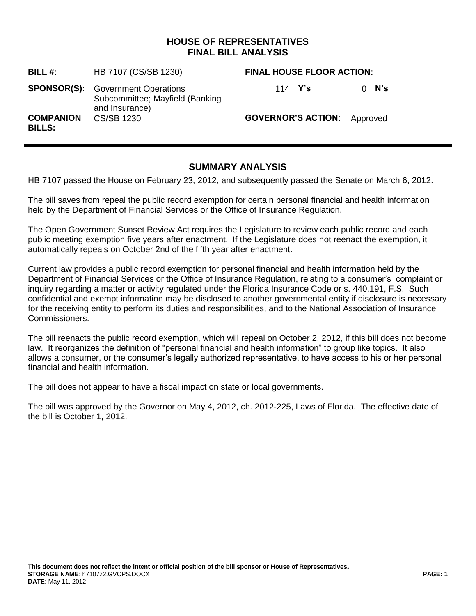## **HOUSE OF REPRESENTATIVES FINAL BILL ANALYSIS**

| BILL #:                           | HB 7107 (CS/SB 1230)                                                                          | <b>FINAL HOUSE FLOOR ACTION:</b>   |         |
|-----------------------------------|-----------------------------------------------------------------------------------------------|------------------------------------|---------|
|                                   | <b>SPONSOR(S):</b> Government Operations<br>Subcommittee; Mayfield (Banking<br>and Insurance) | 114 $Y's$                          | $0$ N's |
| <b>COMPANION</b><br><b>BILLS:</b> | CS/SB 1230                                                                                    | <b>GOVERNOR'S ACTION:</b> Approved |         |

## **SUMMARY ANALYSIS**

HB 7107 passed the House on February 23, 2012, and subsequently passed the Senate on March 6, 2012.

The bill saves from repeal the public record exemption for certain personal financial and health information held by the Department of Financial Services or the Office of Insurance Regulation.

The Open Government Sunset Review Act requires the Legislature to review each public record and each public meeting exemption five years after enactment. If the Legislature does not reenact the exemption, it automatically repeals on October 2nd of the fifth year after enactment.

Current law provides a public record exemption for personal financial and health information held by the Department of Financial Services or the Office of Insurance Regulation, relating to a consumer's complaint or inquiry regarding a matter or activity regulated under the Florida Insurance Code or s. 440.191, F.S. Such confidential and exempt information may be disclosed to another governmental entity if disclosure is necessary for the receiving entity to perform its duties and responsibilities, and to the National Association of Insurance Commissioners.

The bill reenacts the public record exemption, which will repeal on October 2, 2012, if this bill does not become law. It reorganizes the definition of "personal financial and health information" to group like topics. It also allows a consumer, or the consumer's legally authorized representative, to have access to his or her personal financial and health information.

The bill does not appear to have a fiscal impact on state or local governments.

The bill was approved by the Governor on May 4, 2012, ch. 2012-225, Laws of Florida. The effective date of the bill is October 1, 2012.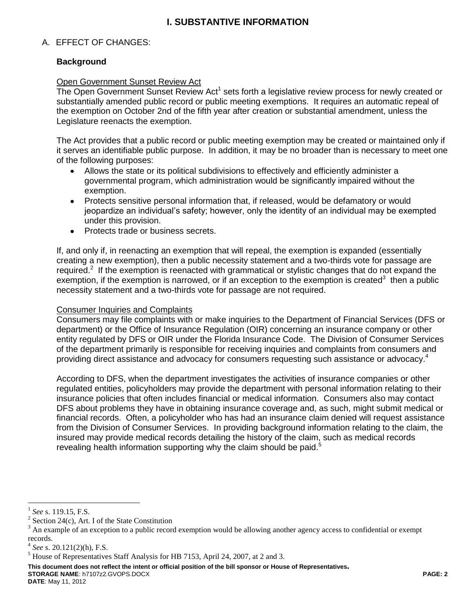# **I. SUBSTANTIVE INFORMATION**

## A. EFFECT OF CHANGES:

### **Background**

#### Open Government Sunset Review Act

The Open Government Sunset Review Act<sup>1</sup> sets forth a legislative review process for newly created or substantially amended public record or public meeting exemptions. It requires an automatic repeal of the exemption on October 2nd of the fifth year after creation or substantial amendment, unless the Legislature reenacts the exemption.

The Act provides that a public record or public meeting exemption may be created or maintained only if it serves an identifiable public purpose. In addition, it may be no broader than is necessary to meet one of the following purposes:

- Allows the state or its political subdivisions to effectively and efficiently administer a governmental program, which administration would be significantly impaired without the exemption.
- Protects sensitive personal information that, if released, would be defamatory or would jeopardize an individual's safety; however, only the identity of an individual may be exempted under this provision.
- Protects trade or business secrets.  $\bullet$

If, and only if, in reenacting an exemption that will repeal, the exemption is expanded (essentially creating a new exemption), then a public necessity statement and a two-thirds vote for passage are required.<sup>2</sup> If the exemption is reenacted with grammatical or stylistic changes that do not expand the exemption, if the exemption is narrowed, or if an exception to the exemption is created<sup>3</sup> then a public necessity statement and a two-thirds vote for passage are not required.

#### Consumer Inquiries and Complaints

Consumers may file complaints with or make inquiries to the Department of Financial Services (DFS or department) or the Office of Insurance Regulation (OIR) concerning an insurance company or other entity regulated by DFS or OIR under the Florida Insurance Code. The Division of Consumer Services of the department primarily is responsible for receiving inquiries and complaints from consumers and providing direct assistance and advocacy for consumers requesting such assistance or advocacy.<sup>4</sup>

According to DFS, when the department investigates the activities of insurance companies or other regulated entities, policyholders may provide the department with personal information relating to their insurance policies that often includes financial or medical information. Consumers also may contact DFS about problems they have in obtaining insurance coverage and, as such, might submit medical or financial records. Often, a policyholder who has had an insurance claim denied will request assistance from the Division of Consumer Services. In providing background information relating to the claim, the insured may provide medical records detailing the history of the claim, such as medical records revealing health information supporting why the claim should be paid.<sup>5</sup>

 $\overline{a}$ 

**This document does not reflect the intent or official position of the bill sponsor or House of Representatives***.* **STORAGE NAME**: h7107z2.GVOPS.DOCX **PAGE: 2**

**DATE**: May 11, 2012

<sup>1</sup> *See* s. 119.15, F.S.

<sup>2</sup> Section 24(c), Art. I of the State Constitution

<sup>3</sup> An example of an exception to a public record exemption would be allowing another agency access to confidential or exempt records.

<sup>4</sup> *See* s. 20.121(2)(h), F.S.

<sup>5</sup> House of Representatives Staff Analysis for HB 7153, April 24, 2007, at 2 and 3.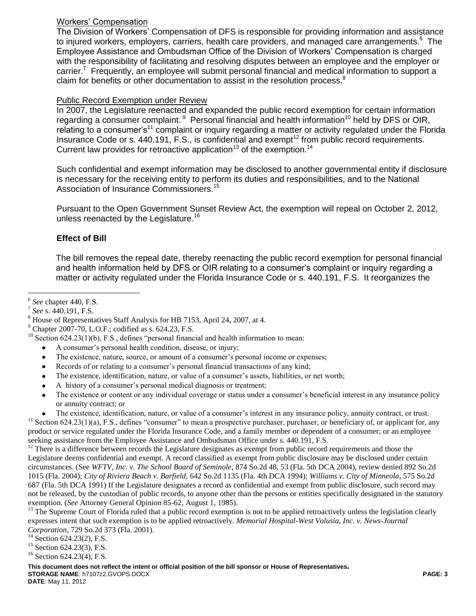## Workers' Compensation

The Division of Workers' Compensation of DFS is responsible for providing information and assistance to injured workers, employers, carriers, health care providers, and managed care arrangements.<sup>6</sup> The Employee Assistance and Ombudsman Office of the Division of Workers' Compensation is charged with the responsibility of facilitating and resolving disputes between an employee and the employer or carrier.<sup>7</sup> Frequently, an employee will submit personal financial and medical information to support a claim for benefits or other documentation to assist in the resolution process.<sup>8</sup>

### Public Record Exemption under Review

In 2007, the Legislature reenacted and expanded the public record exemption for certain information regarding a consumer complaint. <sup>9</sup> Personal financial and health information<sup>10</sup> held by DFS or OIR, relating to a consumer's<sup>11</sup> complaint or inquiry regarding a matter or activity regulated under the Florida Insurance Code or s.  $440.191$ , F.S., is confidential and exempt<sup>12</sup> from public record requirements. Current law provides for retroactive application<sup>13</sup> of the exemption.<sup>14</sup>

Such confidential and exempt information may be disclosed to another governmental entity if disclosure is necessary for the receiving entity to perform its duties and responsibilities, and to the National Association of Insurance Commissioners.<sup>15</sup>

Pursuant to the Open Government Sunset Review Act, the exemption will repeal on October 2, 2012, unless reenacted by the Legislature.<sup>16</sup>

## **Effect of Bill**

The bill removes the repeal date, thereby reenacting the public record exemption for personal financial and health information held by DFS or OIR relating to a consumer's complaint or inquiry regarding a matter or activity regulated under the Florida Insurance Code or s. 440.191, F.S. It reorganizes the

 $\overline{a}$ 

- A consumer's personal health condition, disease, or injury;  $\bullet$
- The existence, nature, source, or amount of a consumer's personal income or expenses;
- $\bullet$ Records of or relating to a consumer's personal financial transactions of any kind;
- The existence, identification, nature, or value of a consumer's assets, liabilities, or net worth;
- A history of a consumer's personal medical diagnosis or treatment;
- The existence or content or any individual coverage or status under a consumer's beneficial interest in any insurance policy  $\bullet$ or annuity contract; or

The existence, identification, nature, or value of a consumer's interest in any insurance policy, annuity contract, or trust.  $11$  Section 624.23(1)(a), F.S., defines "consumer" to mean a prospective purchaser, purchaser, or beneficiary of, or applicant for, any product or service regulated under the Florida Insurance Code, and a family member or dependent of a consumer; or an employee seeking assistance from the Employee Assistance and Ombudsman Office under s. 440.191, F.S.

 $12$  There is a difference between records the Legislature designates as exempt from public record requirements and those the Legislature deems confidential and exempt. A record classified as exempt from public disclosure may be disclosed under certain circumstances. (See *WFTV, Inc. v. The School Board of Seminole*, 874 So.2d 48, 53 (Fla. 5th DCA 2004), review denied 892 So.2d 1015 (Fla. 2004); *City of Riviera Beach v. Barfield*, 642 So.2d 1135 (Fla. 4th DCA 1994); *Williams v. City of Minneola*, 575 So.2d 687 (Fla. 5th DCA 1991) If the Legislature designates a record as confidential and exempt from public disclosure, such record may not be released, by the custodian of public records, to anyone other than the persons or entities specifically designated in the statutory exemption. (*See* Attorney General Opinion 85-62, August 1, 1985).

<sup>13</sup> The Supreme Court of Florida ruled that a public record exemption is not to be applied retroactively unless the legislation clearly expresses intent that such exemption is to be applied retroactively. *Memorial Hospital-West Volusia, Inc. v. News-Journal Corporation*, 729 So.2d 373 (Fla. 2001).

<sup>15</sup> Section 624.23(3), F.S.

**This document does not reflect the intent or official position of the bill sponsor or House of Representatives***.* **STORAGE NAME**: h7107z2.GVOPS.DOCX **PAGE: 3**

<sup>6</sup> *See* chapter 440, F.S.

<sup>7</sup> *See* s. 440.191, F.S.

<sup>8</sup> House of Representatives Staff Analysis for HB 7153, April 24, 2007, at 4.

 $9$  Chapter 2007-70, L.O.F.; codified as s. 624.23, F.S.

 $10$  Section 624.23(1)(b), F.S., defines "personal financial and health information to mean:

 $14$  Section 624.23(2), F.S.

<sup>&</sup>lt;sup>16</sup> Section 624.23(4), F.S.